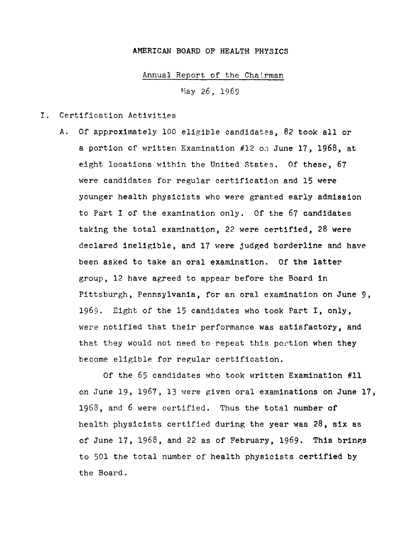## AMERICAN BOARD OF HEALTH PHYSICS

## Annual Report of the Chalrman

Nay 26, 1969

## I. Certification Activities

A. Of approximately 100 eligible candidates, 82 took all or a portion of written Examination #12 on June 17, 1968, at eight locations within the United States. Of these, 67 were candidates for regular certification and 15 were younger health physicists who were granted early admission to Part I of the examination only. Of the 67 candidates taking the total examination, 22 were certified, 28 were declared ineligible, and 17 were judged borderline and have been asked to take an oral examination. Of the latter group, 12 have agreed to appear before the Board in Pittsburgh, Pennsylvania, for an oral examination on June 9, 1969. Eight of the 15 candidates who took Part I, only, were notified that their performance was satisfactory, and that they would not need to repeat this portion when they become eligible for regular certification.

Of the 65 candidates who took written Examination #11 on June 19, 1967, 13 were given oral examinations on June 17, 1968, and 6 were certified. Thus the total number of health physicists certified during the year was 28, six as of June 17, 1968, and 22 as of February, 1969. This brings to 501 the total number of health physicists certified by the Board.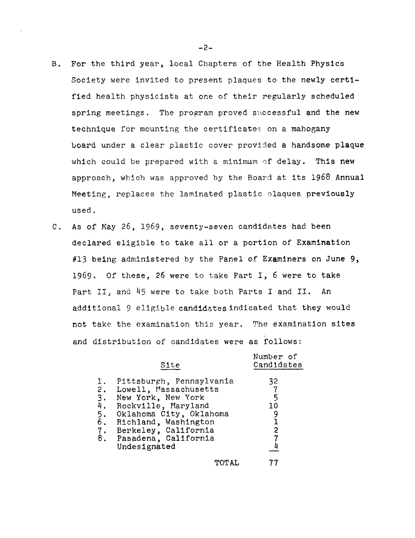- B. For the third year, local Chapters of the Health Physics Society were invited to present plaques to the newly certified health physicists at one of their regularly scheduled spring meetings. The program proved successful and the new technique for mounting the certificates on a mahogany board under a clear plastic cover provided a handsome plaque which could be prepared with a minimum of delay. This new approach, which was approved by the Board at its 1968 Annual Meeting, replaces the laminated plastic olaques previously used.
- C. As of May 26, 1969, seventy-seven candidates had been declared eligible to take all or a portion of Examination #13 being administered by the Panel of Examiners on June 9, 1969. Of these, 26 were to take Part I, 6 were to take Part II, and 45 were to take both Parts I and II. An additional 9 eligible candidates indicated that they would not take the examination this year. The examination **sites**  and distribution of candidates were as follows:

|    | Site                                                                                                                                                                                                                                                           | Number of<br>Candidates  |
|----|----------------------------------------------------------------------------------------------------------------------------------------------------------------------------------------------------------------------------------------------------------------|--------------------------|
| 1. | Pittsburgh, Pennsylvania<br>2. Lowell, Massachusetts<br>3. New York, New York<br>4. Rockville, Maryland<br>5. Oklahoma City, Oklah<br>6. Richland, Washington<br>Oklahoma City, Oklahoma<br>7. Berkeley, California<br>8. Pasadena, California<br>Undesignated | 32<br>-5<br>10<br>9<br>2 |
|    | TOTAL                                                                                                                                                                                                                                                          |                          |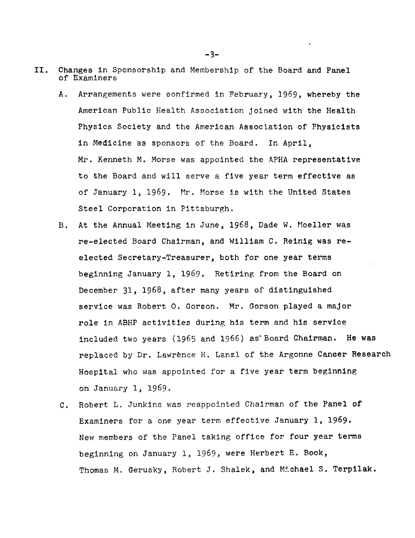- II. Changes in Sponsorship and Membership of the Board and Panel of Examiners
	- A. Arrangements were confirmed in February, 1969, whereby the American Public Health Association joined with the Health Physics Society and the American Association of Physicists in Medicine as sponsors of the Board. In April, Mr. Kenneth M. Morse was appointed the APHA representative to the Board and will serve a five year term effective as of January 1, 1969. Mr. Morse is with the United States Steel Corporation in Pittsburgh.
	- B. At the Annual Meeting in June, 1968, Dade W. Moeller was re-elected Board Chairman, and William C. Reinig was reelected Secretary-Treasurer, both for one year terms beginning January 1, 1969. Retiring from the Board on December 31, 1968, after many years of distinguished service was Robert O. Gorson. Mr. Gorson played a major role in ABHP activities during his term and his service included two years (1965 and 1966) as Board Chairman. He was replaced by Dr. Lawrence H. Lanzl of the Argonne Cancer Research Hospital who was appointed for a five year term beginning on January 1, 1969.
	- C. Robert L. Junkins was reappointed Chairman of the Panel of Examiners for a one year term effective January l, 1969. New members of the Panel taking office for four year terms beginning on January 1, 1969, were Herbert E. Book, Thomas M. Gerusky, Robert J. Shalek, and Michael S. Terpilak.

-3-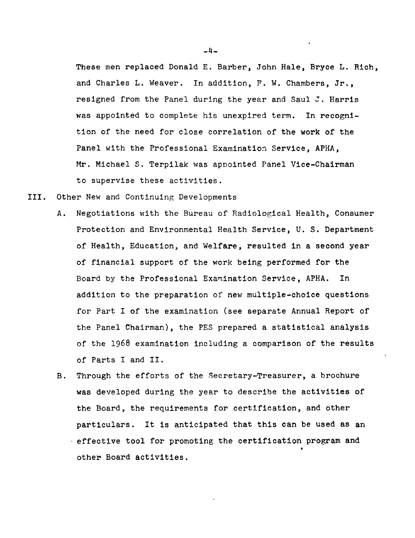These men replaced Donald E. Barber, John Hale, Bryce L. Rich, and Charles L. Weaver. In addition, F. W. Chambers, Jr., resigned from the Panel during the year and Saul  $J$ . Harris was appointed to complete his unexpired term. In recognition of the need for close correlation of the work of the Panel with the Professional Examination Service, APHA, Mr. Michael S. Terpilak was appointed Panel Vice-Chairman to supervise these activities.

III. Other New and Continuing Developments

- A. Negotiations with the Bureau of Radiological Health, Consumer Protection and Environmental Health Service, U.S. Department of Health, Education, and Welfare, resulted in a second year of financial support of the work being performed for the Board by the Professional Examination Service, APHA. In addition to the preparation of new multiple-choice questions for Part I of the examination (see separate Annual Report of the Panel Chairman), the PES prepared a statistical analysis of the 1968 examination including a comparison of the results of Parts I and II.
- B. Through the efforts of the Secretary-Treasurer, a brochure was developed during the year to describe the activities of the Board, the requirements for certification, and other particulars. It 1s anticipated that this can be used as an effective tool for promoting the certification program and other Board activities.

 $-4-$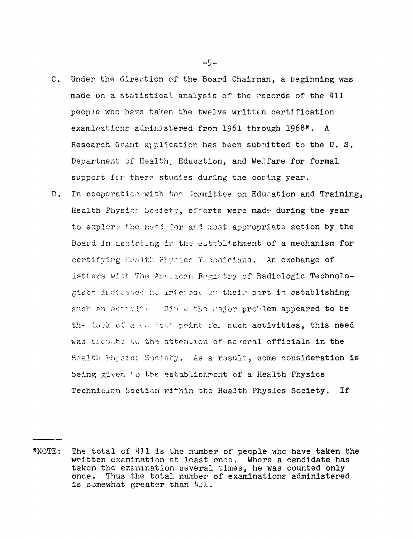- C. Under the direction of the Board Chairman, a beginning was made on a statistical analysis of the records of the 411 people who have taken the twelve written certification examinations administered from  $1961$  through  $1968*$ . A Research Grant application has been submitted to the U. S. Department of Health. Education, and Welfare for formal support for these studies during the coning year.
- D. In cooperation with the Committee on Education and Training, Health Physics Society, efforts were made during the year to explore the need for and most appropriate action by the Board in assiciang in the establishment of a mechanism for certifying Health Phyrics Geendeians. An exchange of letters with The Ame.icen Registry of Radiologic Technologists indicated no interest on their part in establishing such an activity. Since the major problem appeared to be the Leck of a comboding point for such activities, this need was trem, he we steen tion of several officials in the Health Physic: Society. As a result, some consideration is being given to the establishment of a Health Physics Technician Section within the Health Physics Society. If

 $-5-$ 

<sup>\*</sup>NOTE: The total of 411 is the number of people who have taken the written examination at least onte. Where a candidate has taken the examination several times, he was counted only once. Thus the total number of examinations administered is somewhat greater than  $411.$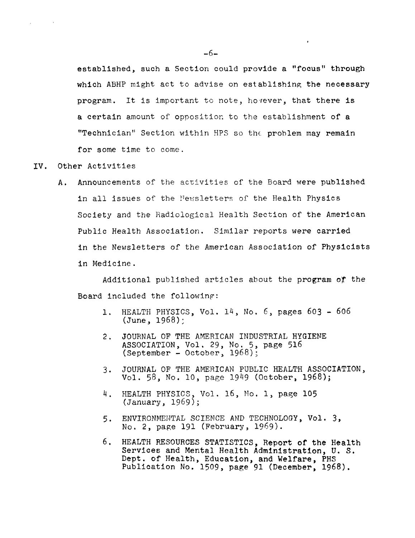established, such a Section could provide a "focus" through which ABHP might act to advise on establishing the necessary program. It is important to note, hovever, that there is a certain amount of oppositior. to the establishment of a "Technician" Section within HPS so the problem may remain for some time to come.

 $\sim 10^{-11}$ 

IV. Other Activities

 $\sim 100$ 

 $\mathbf{r} = \mathbf{r}$ 

A. Announcements of the activities of the Board were published in all issues of the Newsletters of the Health Physics Society and the Hadiological Health Section of the American Public Health Association. Similar reports were carried in the Newsletters of the American Association of Physicists in Medicine.

Additional published articles about the program or the Board included the following:

- 1. HEALTH PHYSICS, Vol. 14, No.  $6$ , pages  $603 606$  $\text{(June, 1968)}$
- 2. JOURNAL OF THE AMERICAN INDUSTRIAL HYGIENE ASSOCIATION, Vol. 29, No. 5, page 516  $(September - October, 1968);$
- 3. JOURNAL OF THE AMERICAN PUBLIC HEALTH ASSOCIATION, Vol. 58, No. 10, page 1949 (October, 1968);
- 4. HEALTH PHYSIOS, Vol. 16, No. 1, page 105 (January, 1969);
- 5. ENVIRONMEHTAL SCIENCE AND TECHNOLOGY, Vol. 3, No. 2, page 191 (February, 1969).
- 6. HEALTH RESOURCES STATISTICS, Report of the Health Services and Mental Health Administration, U.S. Dept. of Health, Education, and Welfare, PHS Publication No. 1509, page 91 (December, 1968).

 $-6-$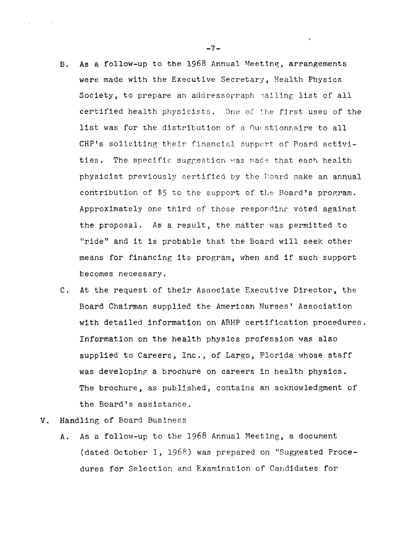- B. As a follow-up to the  $1968$  Annual Meeting, arrangements were made with the Executive Secretary, Health Physics Society, to prepare an addressorraph nailing list of all certified health physicists. One of the first uses of the list was for the distribution of a Questionnaire to all CHP's soliciting their financial support of Poard activities. The specific suggestion was made that each health physicist previously certified by the I:oard make an annual contribution of  $$5$  to the support of the Board's program. Approximately one third of those responding voted against the proposal. As a result, the matter was permitted to "ride" and it is probable that the Board will seek other means for financing its program, when and if such support becomes necessary.
- C. At the request of their Associate Executjve Director, the Board Chairman supplied the American Nurses' Association with detailed information on ABHP certification procedures. Information on the health physics profession was also supplied to Careers, Inc., of Largo, Florida whose staff was developing a brochure on careers in health physics. The brochure, as published, contains an acknowledgment of the Board's assistance.
- V. Handling of Board Business
	- A. As a follow-up to the 1968 Annual Meeting, a document (dated October 1, 1968) was prepared on "Suggested Procedures for Selection and Examination of Candidates for

 $-7-$